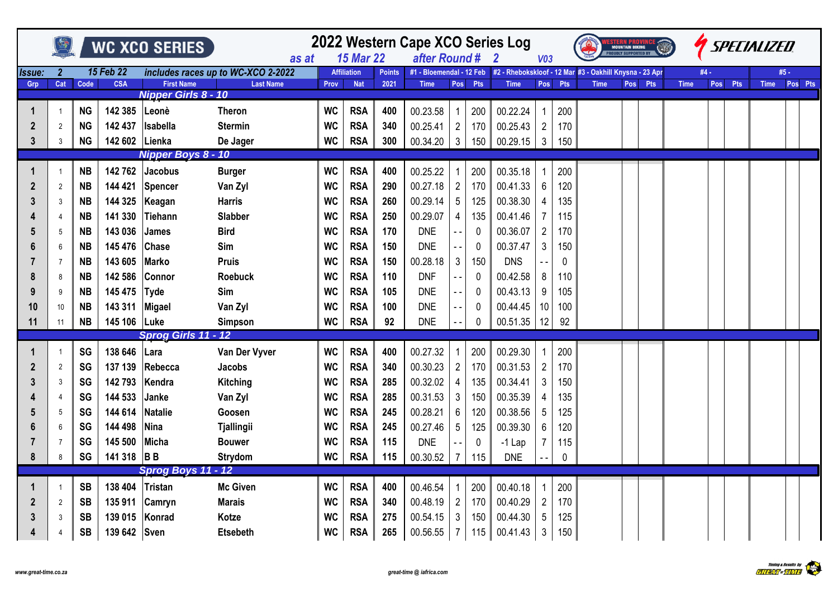|                      |                |           |                  | WC XCO SERIES              |                                             | 2022 Western Cape XCO Series Log<br>$\overline{2}$ | V03                                    |               |                                           | <b>STEMM PROVID</b><br>Mountain Biking | <b>ATD</b>       |                                                         |                 |             | <i>SPECIALIZED</i> |  |         |             |      |         |             |         |
|----------------------|----------------|-----------|------------------|----------------------------|---------------------------------------------|----------------------------------------------------|----------------------------------------|---------------|-------------------------------------------|----------------------------------------|------------------|---------------------------------------------------------|-----------------|-------------|--------------------|--|---------|-------------|------|---------|-------------|---------|
| <i><b>Issue:</b></i> | $\overline{2}$ |           | <b>15 Feb 22</b> |                            | as at<br>includes races up to WC-XCO 2-2022 |                                                    | <b>15 Mar 22</b><br><b>Affiliation</b> | <b>Points</b> | after Round #<br>#1 - Bloemendal - 12 Feb |                                        |                  | #2 - Rhebokskloof - 12 Mar #3 - Oakhill Knysna - 23 Apr |                 |             |                    |  |         |             | #4 - |         | #5 -        |         |
| Grp                  | Cat            | Code      | <b>CSA</b>       | <b>First Name</b>          | <b>Last Name</b>                            | Prov                                               | <b>Nat</b>                             | 2021          | <b>Time</b>                               |                                        | Pos Pts          | <b>Time</b>                                             |                 | Pos Pts     | <b>Time</b>        |  | Pos Pts | <b>Time</b> |      | Pos Pts | <b>Time</b> | Pos Pts |
|                      |                |           |                  | <b>Nipper Girls 8 - 10</b> |                                             |                                                    |                                        |               |                                           |                                        |                  |                                                         |                 |             |                    |  |         |             |      |         |             |         |
|                      |                | <b>NG</b> | 142 385          | Leonè                      | <b>Theron</b>                               | <b>WC</b>                                          | <b>RSA</b>                             | 400           | 00.23.58                                  |                                        | 200              | 00.22.24                                                | -1              | 200         |                    |  |         |             |      |         |             |         |
| 2                    | $\overline{2}$ | <b>NG</b> | 142 437          | Isabella                   | <b>Stermin</b>                              | <b>WC</b>                                          | <b>RSA</b>                             | 340           | 00.25.41                                  | $\overline{2}$                         | 170              | 00.25.43                                                | $\overline{2}$  | 170         |                    |  |         |             |      |         |             |         |
| 3                    | 3              | <b>NG</b> | 142 602          | Lienka                     | De Jager                                    | <b>WC</b>                                          | <b>RSA</b>                             | 300           | 00.34.20                                  | 3 <sup>1</sup>                         | 150              | 00.29.15                                                | $\mathbf{3}$    | 150         |                    |  |         |             |      |         |             |         |
|                      |                |           |                  | Nipper Boys 8 - 10         |                                             |                                                    |                                        |               |                                           |                                        |                  |                                                         |                 |             |                    |  |         |             |      |         |             |         |
|                      |                | <b>NB</b> | 142762           | Jacobus                    | <b>Burger</b>                               | <b>WC</b>                                          | <b>RSA</b>                             | 400           | 00.25.22                                  |                                        | 200              | 00.35.18                                                | -1              | 200         |                    |  |         |             |      |         |             |         |
| 2                    | $\overline{2}$ | <b>NB</b> | 144 421          | Spencer                    | Van Zyl                                     | <b>WC</b>                                          | <b>RSA</b>                             | 290           | 00.27.18                                  | $\overline{2}$                         | 170              | 00.41.33                                                | $6\phantom{1}6$ | 120         |                    |  |         |             |      |         |             |         |
|                      | 3              | <b>NB</b> | 144 325          | Keagan                     | <b>Harris</b>                               | <b>WC</b>                                          | <b>RSA</b>                             | 260           | 00.29.14                                  | $\sqrt{5}$                             | 125              | 00.38.30                                                | $\overline{4}$  | 135         |                    |  |         |             |      |         |             |         |
|                      |                | <b>NB</b> | 141 330          | <b>Tiehann</b>             | Slabber                                     | <b>WC</b>                                          | <b>RSA</b>                             | 250           | 00.29.07                                  | 4                                      | 135              | 00.41.46                                                | 7               | 115         |                    |  |         |             |      |         |             |         |
| 5                    | 5              | NΒ        | 143 036          | <b>James</b>               | <b>Bird</b>                                 | <b>WC</b>                                          | <b>RSA</b>                             | 170           | <b>DNE</b>                                | $ -$                                   | $\boldsymbol{0}$ | 00.36.07                                                | $\overline{2}$  | 170         |                    |  |         |             |      |         |             |         |
| 6                    | 6              | <b>NB</b> | 145 476          | <b>Chase</b>               | Sim                                         | <b>WC</b>                                          | <b>RSA</b>                             | 150           | <b>DNE</b>                                | $ -$                                   | 0                | 00.37.47                                                | 3               | 150         |                    |  |         |             |      |         |             |         |
|                      | $\overline{7}$ | <b>NB</b> | 143 605          | <b>Marko</b>               | <b>Pruis</b>                                | <b>WC</b>                                          | <b>RSA</b>                             | 150           | 00.28.18                                  | $\mathbf{3}$                           | 150              | <b>DNS</b>                                              |                 | $\mathbf 0$ |                    |  |         |             |      |         |             |         |
| 8                    | 8              | <b>NB</b> | 142 586          | <b>Connor</b>              | <b>Roebuck</b>                              | <b>WC</b>                                          | <b>RSA</b>                             | 110           | <b>DNF</b>                                | $ -$                                   | 0                | 00.42.58                                                | 8               | 110         |                    |  |         |             |      |         |             |         |
| 9                    | 9              | <b>NB</b> | 145 475          | Tyde                       | Sim                                         | <b>WC</b>                                          | <b>RSA</b>                             | 105           | <b>DNE</b>                                | - -                                    | $\mathbf 0$      | 00.43.13                                                | 9               | 105         |                    |  |         |             |      |         |             |         |
| 10                   | 10             | <b>NB</b> | 143 311          | Migael                     | Van Zyl                                     | <b>WC</b>                                          | <b>RSA</b>                             | 100           | <b>DNE</b>                                | $\sim$ $-$                             | 0                | 00.44.45                                                | 10              | 100         |                    |  |         |             |      |         |             |         |
| 11                   | 11             | <b>NB</b> | 145 106 Luke     |                            | Simpson                                     | <b>WC</b>                                          | <b>RSA</b>                             | 92            | <b>DNE</b>                                |                                        | 0                | 00.51.35                                                | 12              | 92          |                    |  |         |             |      |         |             |         |
|                      |                |           |                  | Sprog Girls 11 - 12        |                                             |                                                    |                                        |               |                                           |                                        |                  |                                                         |                 |             |                    |  |         |             |      |         |             |         |
|                      |                | SG        | 138 646          | Lara                       | Van Der Vyver                               | <b>WC</b>                                          | <b>RSA</b>                             | 400           | 00.27.32                                  |                                        | 200              | 00.29.30                                                |                 | 200         |                    |  |         |             |      |         |             |         |
| 2                    | $\overline{2}$ | SG        | 137 139          | Rebecca                    | <b>Jacobs</b>                               | <b>WC</b>                                          | <b>RSA</b>                             | 340           | 00.30.23                                  | $\overline{2}$                         | 170              | 00.31.53                                                | $\overline{2}$  | 170         |                    |  |         |             |      |         |             |         |
| 3                    | 3              | SG        | 142 793          | Kendra                     | Kitching                                    | <b>WC</b>                                          | <b>RSA</b>                             | 285           | 00.32.02                                  | 4                                      | 135              | 00.34.41                                                | $\mathbf{3}$    | 150         |                    |  |         |             |      |         |             |         |
|                      |                | SG        | 144 533          | Janke                      | Van Zyl                                     | <b>WC</b>                                          | <b>RSA</b>                             | 285           | 00.31.53                                  | 3                                      | 150              | 00.35.39                                                | 4               | 135         |                    |  |         |             |      |         |             |         |
|                      | 5              | SG        | 144 614          | <b>Natalie</b>             | Goosen                                      | <b>WC</b>                                          | <b>RSA</b>                             | 245           | 00.28.21                                  | $\,6$                                  | 120              | 00.38.56                                                | 5               | 125         |                    |  |         |             |      |         |             |         |
| 6                    | 6              | SG        | 144 498          | Nina                       | <b>Tjallingii</b>                           | <b>WC</b>                                          | <b>RSA</b>                             | 245           | 00.27.46                                  | $\sqrt{5}$                             | 125              | 00.39.30                                                | $6\phantom{1}6$ | 120         |                    |  |         |             |      |         |             |         |
|                      |                | <b>SG</b> | 145 500          | <b>Micha</b>               | <b>Bouwer</b>                               | <b>WC</b>                                          | <b>RSA</b>                             | 115           | <b>DNE</b>                                |                                        | 0                | $-1$ Lap                                                | $\overline{7}$  | 115         |                    |  |         |             |      |         |             |         |
| 8                    | 8              | <b>SG</b> | 141 318 BB       |                            | <b>Strydom</b>                              | <b>WC</b>                                          | <b>RSA</b>                             | 115           | 00.30.52                                  | $\overline{7}$                         | 115              | <b>DNE</b>                                              |                 | 0           |                    |  |         |             |      |         |             |         |
|                      |                |           |                  | Sprog Boys 11 - 12         |                                             |                                                    |                                        |               |                                           |                                        |                  |                                                         |                 |             |                    |  |         |             |      |         |             |         |
|                      |                | <b>SB</b> | 138 404          | Tristan                    | Mc Given                                    | <b>WC</b>                                          | <b>RSA</b>                             | 400           | 00.46.54                                  |                                        | 200              | 00.40.18                                                | -1              | 200         |                    |  |         |             |      |         |             |         |
| 2                    | $\overline{2}$ | <b>SB</b> | 135 911          | Camryn                     | <b>Marais</b>                               | <b>WC</b>                                          | <b>RSA</b>                             | 340           | 00.48.19                                  | $\overline{2}$                         | 170              | 00.40.29                                                | $\overline{2}$  | 170         |                    |  |         |             |      |         |             |         |
| 3                    | 3              | <b>SB</b> | 139 015          | Konrad                     | Kotze                                       | <b>WC</b>                                          | <b>RSA</b>                             | 275           | 00.54.15                                  | $\mathbf{3}$                           | 150              | 00.44.30                                                | 5               | 125         |                    |  |         |             |      |         |             |         |
|                      |                | <b>SB</b> | 139 642 Sven     |                            | <b>Etsebeth</b>                             | <b>WC</b>                                          | <b>RSA</b>                             | 265           | 00.56.55                                  | $\overline{7}$                         | 115              | 00.41.43                                                | $\mathbf{3}$    | 150         |                    |  |         |             |      |         |             |         |

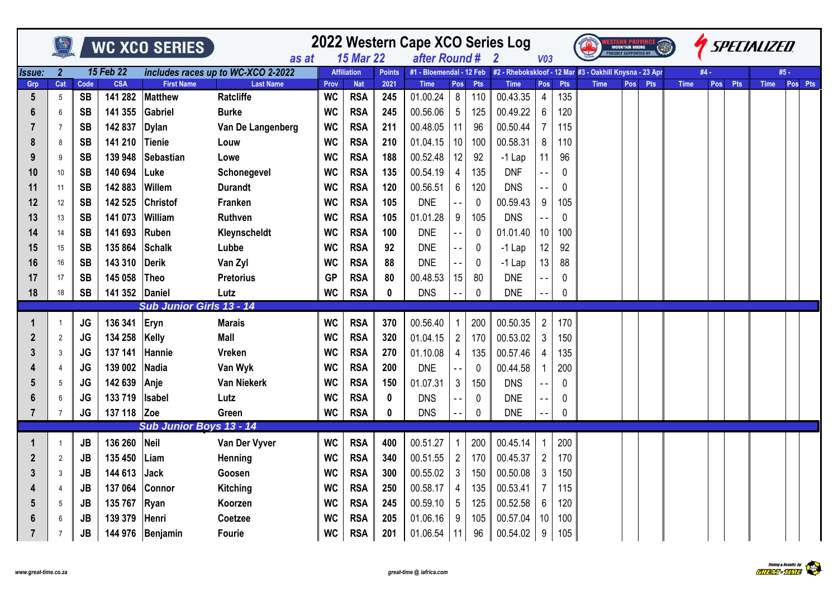|                 |                       |            |                  | <b>WC XCO SERIES</b>            |                                                        |           |                                  |                       | 2022 Western Cape XCO Series Log |                |            |                                                                                                    |                 |            |             | <b>MOUNTAIN BIKING</b><br><b>PROUDLY SUPPORTED BY</b> |            |             |      |     | SPECIALIZED |                 |
|-----------------|-----------------------|------------|------------------|---------------------------------|--------------------------------------------------------|-----------|----------------------------------|-----------------------|----------------------------------|----------------|------------|----------------------------------------------------------------------------------------------------|-----------------|------------|-------------|-------------------------------------------------------|------------|-------------|------|-----|-------------|-----------------|
|                 |                       |            | <b>15 Feb 22</b> |                                 | as at                                                  |           | <b>15 Mar 22</b>                 |                       | after Round #                    |                |            | $\overline{2}$<br>#1 - Bloemendal - 12 Feb #2 - Rhebokskloof - 12 Mar #3 - Oakhill Knysna - 23 Apr | V <sub>03</sub> |            |             |                                                       |            |             | #4 - |     |             |                 |
| Issue:<br>Grp   | $\overline{2}$<br>Cat | Code       | <b>CSA</b>       | <b>First Name</b>               | includes races up to WC-XCO 2-2022<br><b>Last Name</b> | Prov      | <b>Affiliation</b><br><b>Nat</b> | <b>Points</b><br>2021 | <b>Time</b>                      | Pos            | <b>Pts</b> | <b>Time</b>                                                                                        | <b>Pos</b>      | <b>Pts</b> | <b>Time</b> | Pos                                                   | <b>Pts</b> | <b>Time</b> | Pos  | Pts | <b>Time</b> | #5 -<br>Pos Pts |
| $5\phantom{.0}$ | $5\phantom{.0}$       | <b>SB</b>  | 141 282          | <b>Matthew</b>                  | <b>Ratcliffe</b>                                       | <b>WC</b> | <b>RSA</b>                       | 245                   | 01.00.24                         | 8 <sup>1</sup> | 110        | 00.43.35                                                                                           | $\overline{4}$  | 135        |             |                                                       |            |             |      |     |             |                 |
| 6               | 6                     | <b>SB</b>  | 141 355          | Gabriel                         | <b>Burke</b>                                           | <b>WC</b> | <b>RSA</b>                       | 245                   | 00.56.06                         | 5 <sup>5</sup> | 125        | 00.49.22                                                                                           | 6               | 120        |             |                                                       |            |             |      |     |             |                 |
|                 | 7                     | <b>SB</b>  | 142 837          | <b>Dylan</b>                    | Van De Langenberg                                      | <b>WC</b> | <b>RSA</b>                       | 211                   | 00.48.05                         | 11             | 96         | 00.50.44                                                                                           | 7               | 115        |             |                                                       |            |             |      |     |             |                 |
| 8               | 8                     | <b>SB</b>  | 141 210          | Tienie                          | Louw                                                   | <b>WC</b> | <b>RSA</b>                       | 210                   | 01.04.15                         | 10             | 100        | 00.58.31                                                                                           | 8               | 110        |             |                                                       |            |             |      |     |             |                 |
| 9               | 9                     | <b>SB</b>  | 139 948          | Sebastian                       | Lowe                                                   | <b>WC</b> | <b>RSA</b>                       | 188                   | 00.52.48                         | 12             | 92         | $-1$ Lap                                                                                           | 11              | 96         |             |                                                       |            |             |      |     |             |                 |
| 10              | 10                    | <b>SB</b>  | 140 694          | Luke                            | Schonegevel                                            | <b>WC</b> | <b>RSA</b>                       | 135                   | 00.54.19                         | 4              | 135        | <b>DNF</b>                                                                                         | $ -$            | 0          |             |                                                       |            |             |      |     |             |                 |
| 11              | 11                    | <b>SB</b>  | 142 883          | Willem                          | <b>Durandt</b>                                         | <b>WC</b> | <b>RSA</b>                       | 120                   | 00.56.51                         | 6              | 120        | <b>DNS</b>                                                                                         |                 | 0          |             |                                                       |            |             |      |     |             |                 |
| 12              | 12                    | <b>SB</b>  | 142 525          | Christof                        | Franken                                                | <b>WC</b> | <b>RSA</b>                       | 105                   | <b>DNE</b>                       |                | 0          | 00.59.43                                                                                           | 9               | 105        |             |                                                       |            |             |      |     |             |                 |
| 13              | 13                    | <b>SB</b>  | 141 073          | William                         | Ruthven                                                | <b>WC</b> | <b>RSA</b>                       | 105                   | 01.01.28                         | 9              | 105        | <b>DNS</b>                                                                                         |                 | 0          |             |                                                       |            |             |      |     |             |                 |
| 14              | 14                    | <b>SB</b>  | 141 693          | Ruben                           | Kleynscheldt                                           | <b>WC</b> | <b>RSA</b>                       | 100                   | <b>DNE</b>                       | $\sim$ $-$     | 0          | 01.01.40                                                                                           | 10              | 100        |             |                                                       |            |             |      |     |             |                 |
| 15              | 15                    | <b>SB</b>  | 135 864          | Schalk                          | Lubbe                                                  | <b>WC</b> | <b>RSA</b>                       | 92                    | <b>DNE</b>                       | $ -$           | 0          | $-1$ Lap                                                                                           | 12              | 92         |             |                                                       |            |             |      |     |             |                 |
| 16              | 16                    | <b>SB</b>  | 143 310          | <b>Derik</b>                    | Van Zyl                                                | <b>WC</b> | <b>RSA</b>                       | 88                    | <b>DNE</b>                       |                | 0          | $-1$ Lap                                                                                           | 13              | 88         |             |                                                       |            |             |      |     |             |                 |
| 17              | 17                    | <b>SB</b>  | 145 058          | Theo                            | <b>Pretorius</b>                                       | <b>GP</b> | <b>RSA</b>                       | 80                    | 00.48.53                         | 15             | 80         | <b>DNE</b>                                                                                         |                 | 0          |             |                                                       |            |             |      |     |             |                 |
| 18              | 18                    | <b>SB</b>  | 141 352 Daniel   |                                 | Lutz                                                   | <b>WC</b> | <b>RSA</b>                       | 0                     | <b>DNS</b>                       |                | 0          | <b>DNE</b>                                                                                         |                 | 0          |             |                                                       |            |             |      |     |             |                 |
|                 |                       |            |                  | <b>Sub Junior Girls 13 - 14</b> |                                                        |           |                                  |                       |                                  |                |            |                                                                                                    |                 |            |             |                                                       |            |             |      |     |             |                 |
| 1               | $\mathbf{1}$          | <b>JG</b>  | 136 341          | Eryn                            | <b>Marais</b>                                          | <b>WC</b> | <b>RSA</b>                       | 370                   | 00.56.40                         | 1              | 200        | 00.50.35                                                                                           | $\overline{2}$  | 170        |             |                                                       |            |             |      |     |             |                 |
| 2               | $\overline{2}$        | <b>JG</b>  | 134 258          | <b>Kelly</b>                    | <b>Mall</b>                                            | <b>WC</b> | <b>RSA</b>                       | 320                   | 01.04.15                         | $2^{\circ}$    | 170        | 00.53.02                                                                                           | 3               | 150        |             |                                                       |            |             |      |     |             |                 |
| 3               | 3                     | <b>JG</b>  | 137 141          | Hannie                          | Vreken                                                 | <b>WC</b> | <b>RSA</b>                       | 270                   | 01.10.08                         | 4              | 135        | 00.57.46                                                                                           | 4               | 135        |             |                                                       |            |             |      |     |             |                 |
|                 | $\overline{4}$        | <b>JG</b>  | 139 002          | <b>Nadia</b>                    | Van Wyk                                                | <b>WC</b> | <b>RSA</b>                       | 200                   | <b>DNE</b>                       |                | 0          | 00.44.58                                                                                           |                 | 200        |             |                                                       |            |             |      |     |             |                 |
| 5               | 5                     | JG         | 142 639          | Anje                            | <b>Van Niekerk</b>                                     | <b>WC</b> | <b>RSA</b>                       | 150                   | 01.07.31                         | $\mathbf{3}$   | 150        | <b>DNS</b>                                                                                         |                 | 0          |             |                                                       |            |             |      |     |             |                 |
| 6               | 6                     | <b>JG</b>  | 133 719          | Isabel                          | Lutz                                                   | <b>WC</b> | <b>RSA</b>                       | 0                     | <b>DNS</b>                       |                | 0          | <b>DNE</b>                                                                                         |                 | 0          |             |                                                       |            |             |      |     |             |                 |
| $\overline{7}$  | $\overline{7}$        | <b>JG</b>  | 137 118 Zoe      |                                 | Green                                                  | <b>WC</b> | <b>RSA</b>                       | 0                     | <b>DNS</b>                       |                | 0          | <b>DNE</b>                                                                                         |                 | 0          |             |                                                       |            |             |      |     |             |                 |
|                 |                       |            |                  | Sub Junior Boys 13 - 14         |                                                        |           |                                  |                       |                                  |                |            |                                                                                                    |                 |            |             |                                                       |            |             |      |     |             |                 |
|                 | $\mathbf{1}$          | ${\sf JB}$ | 136 260          | Neil                            | Van Der Vyver                                          | <b>WC</b> | <b>RSA</b>                       | 400                   | 00.51.27                         | $\mathbf{1}$   | 200        | 00.45.14                                                                                           | -1              | 200        |             |                                                       |            |             |      |     |             |                 |
| 2               | 2                     | JB         | 135 450          | Liam                            | Henning                                                | <b>WC</b> | <b>RSA</b>                       | 340                   | 00.51.55                         | $\mathbf{2}$   | 170        | 00.45.37                                                                                           | $\overline{2}$  | 170        |             |                                                       |            |             |      |     |             |                 |
| 3               | 3                     | <b>JB</b>  | 144 613          | <b>Jack</b>                     | Goosen                                                 | <b>WC</b> | <b>RSA</b>                       | 300                   | 00.55.02                         | 3 <sup>1</sup> | 150        | 00.50.08                                                                                           | 3               | 150        |             |                                                       |            |             |      |     |             |                 |
|                 | 4                     | <b>JB</b>  | 137 064          | Connor                          | <b>Kitching</b>                                        | <b>WC</b> | <b>RSA</b>                       | 250                   | 00.58.17                         | 4              | 135        | 00.53.41                                                                                           | $\overline{7}$  | 115        |             |                                                       |            |             |      |     |             |                 |
| 5               | 5                     | <b>JB</b>  | 135 767          | Ryan                            | Koorzen                                                | <b>WC</b> | <b>RSA</b>                       | 245                   | 00.59.10                         | 5 <sub>5</sub> | 125        | 00.52.58                                                                                           | 6               | 120        |             |                                                       |            |             |      |     |             |                 |
| 6               | 6                     | <b>JB</b>  | 139 379          | Henri                           | Coetzee                                                | <b>WC</b> | <b>RSA</b>                       | 205                   | 01.06.16                         | 9              | 105        | 00.57.04                                                                                           | 10              | 100        |             |                                                       |            |             |      |     |             |                 |
| 7               | $\overline{7}$        | <b>JB</b>  | 144 976          | Benjamin                        | <b>Fourie</b>                                          | <b>WC</b> | <b>RSA</b>                       | 201                   | $01.06.54$   11                  |                | 96         | 00.54.02                                                                                           | 9               | 105        |             |                                                       |            |             |      |     |             |                 |

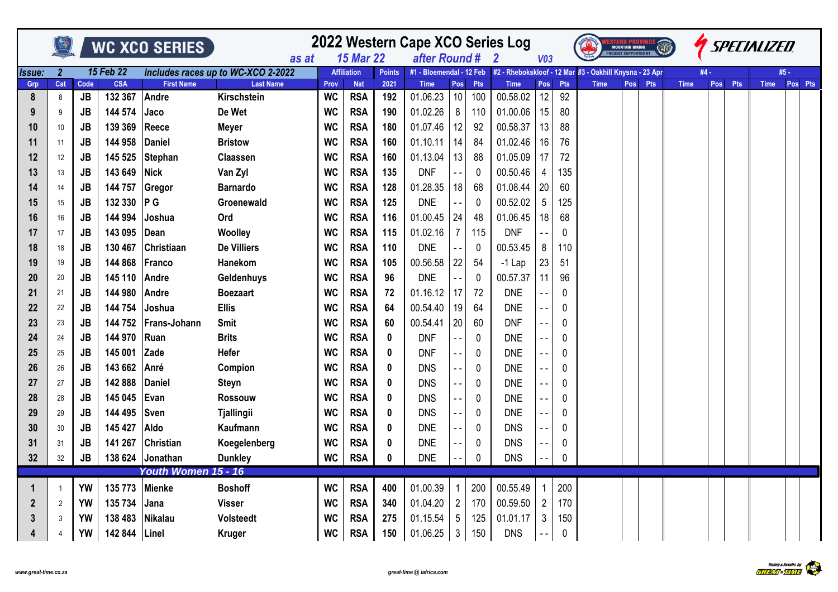|                      |                |           |                  | <b>WC XCO SERIES</b> |                                             |           | 2022 Western Cape XCO Series Log<br>after Round # |               |                          |                          | V <sub>03</sub> |                                                         |                | <b>MOUNTAIN BIKING</b> | <b>PROUDLY SUPPORTED BY</b> |     |            |             |      | <b><i>ISPECIALIZED</i></b> |     |             |         |
|----------------------|----------------|-----------|------------------|----------------------|---------------------------------------------|-----------|---------------------------------------------------|---------------|--------------------------|--------------------------|-----------------|---------------------------------------------------------|----------------|------------------------|-----------------------------|-----|------------|-------------|------|----------------------------|-----|-------------|---------|
| <i><b>Issue:</b></i> | $\overline{2}$ |           | <b>15 Feb 22</b> |                      | as at<br>includes races up to WC-XCO 2-2022 |           | <b>15 Mar 22</b><br><b>Affiliation</b>            | <b>Points</b> | #1 - Bloemendal - 12 Feb |                          |                 | #2 - Rhebokskloof - 12 Mar #3 - Oakhill Knysna - 23 Apr |                |                        |                             |     |            |             | #4 - |                            |     |             | #5 -    |
| Grp                  | Cat            | Code      | <b>CSA</b>       | <b>First Name</b>    | <b>Last Name</b>                            | Prov      | <b>Nat</b>                                        | 2021          | <b>Time</b>              | Pos                      | <b>Pts</b>      | <b>Time</b>                                             | <b>Pos</b>     | <b>Pts</b>             | <b>Time</b>                 | Pos | <b>Pts</b> | <b>Time</b> |      | Pos                        | Pts | <b>Time</b> | Pos Pts |
| 8                    | 8              | JB        | 132 367          | Andre                | Kirschstein                                 | <b>WC</b> | <b>RSA</b>                                        | 192           | 01.06.23                 | 10 <sup>1</sup>          | 100             | 00.58.02                                                | 12             | 92                     |                             |     |            |             |      |                            |     |             |         |
| 9                    | 9              | <b>JB</b> | 144 574          | Jaco                 | De Wet                                      | <b>WC</b> | <b>RSA</b>                                        | 190           | 01.02.26                 | 8                        | 110             | 01.00.06                                                | 15             | 80                     |                             |     |            |             |      |                            |     |             |         |
| 10                   | 10             | <b>JB</b> | 139 369          | Reece                | <b>Meyer</b>                                | <b>WC</b> | <b>RSA</b>                                        | 180           | 01.07.46                 | 12                       | 92              | 00.58.37                                                | 13             | 88                     |                             |     |            |             |      |                            |     |             |         |
| 11                   | 11             | <b>JB</b> | 144 958          | Daniel               | <b>Bristow</b>                              | <b>WC</b> | <b>RSA</b>                                        | 160           | 01.10.11                 | 14                       | 84              | 01.02.46                                                | 16             | 76                     |                             |     |            |             |      |                            |     |             |         |
| 12                   | 12             | <b>JB</b> | 145 525          | Stephan              | Claassen                                    | <b>WC</b> | <b>RSA</b>                                        | 160           | 01.13.04                 | 13                       | 88              | 01.05.09                                                | 17             | 72                     |                             |     |            |             |      |                            |     |             |         |
| 13                   | 13             | <b>JB</b> | 143 649          | <b>Nick</b>          | Van Zyl                                     | WC        | <b>RSA</b>                                        | 135           | <b>DNF</b>               | $ -$                     | 0               | 00.50.46                                                | 4              | 135                    |                             |     |            |             |      |                            |     |             |         |
| 14                   | 14             | <b>JB</b> | 144 757          | Gregor               | <b>Barnardo</b>                             | <b>WC</b> | <b>RSA</b>                                        | 128           | 01.28.35                 | 18                       | 68              | 01.08.44                                                | 20             | 60                     |                             |     |            |             |      |                            |     |             |         |
| 15                   | 15             | JB        | 132 330          | P G                  | Groenewald                                  | <b>WC</b> | <b>RSA</b>                                        | 125           | <b>DNE</b>               |                          | 0               | 00.52.02                                                | 5              | 125                    |                             |     |            |             |      |                            |     |             |         |
| 16                   | 16             | <b>JB</b> | 144 994          | Joshua               | Ord                                         | <b>WC</b> | <b>RSA</b>                                        | 116           | 01.00.45                 | 24                       | 48              | 01.06.45                                                | 18             | 68                     |                             |     |            |             |      |                            |     |             |         |
| 17                   | 17             | <b>JB</b> | 143 095          | Dean                 | Woolley                                     | <b>WC</b> | <b>RSA</b>                                        | 115           | 01.02.16                 | $\overline{7}$           | 115             | <b>DNF</b>                                              |                | 0                      |                             |     |            |             |      |                            |     |             |         |
| 18                   | 18             | <b>JB</b> | 130 467          | Christiaan           | <b>De Villiers</b>                          | <b>WC</b> | <b>RSA</b>                                        | 110           | <b>DNE</b>               | $\overline{\phantom{a}}$ | 0               | 00.53.45                                                | 8              | 110                    |                             |     |            |             |      |                            |     |             |         |
| 19                   | 19             | <b>JB</b> | 144 868          | Franco               | Hanekom                                     | <b>WC</b> | <b>RSA</b>                                        | 105           | 00.56.58                 | 22                       | 54              | $-1$ Lap                                                | 23             | 51                     |                             |     |            |             |      |                            |     |             |         |
| 20                   | 20             | <b>JB</b> | 145 110          | Andre                | Geldenhuys                                  | <b>WC</b> | <b>RSA</b>                                        | 96            | <b>DNE</b>               |                          | 0               | 00.57.37                                                | 11             | 96                     |                             |     |            |             |      |                            |     |             |         |
| 21                   | 21             | <b>JB</b> | 144 980          | Andre                | <b>Boezaart</b>                             | <b>WC</b> | <b>RSA</b>                                        | 72            | 01.16.12                 | 17                       | 72              | <b>DNE</b>                                              |                | $\Omega$               |                             |     |            |             |      |                            |     |             |         |
| 22                   | 22             | <b>JB</b> | 144 754          | Joshua               | <b>Ellis</b>                                | <b>WC</b> | <b>RSA</b>                                        | 64            | 00.54.40                 | 19                       | 64              | <b>DNE</b>                                              | $ -$           | $\Omega$               |                             |     |            |             |      |                            |     |             |         |
| 23                   | 23             | <b>JB</b> | 144 752          | Frans-Johann         | Smit                                        | <b>WC</b> | <b>RSA</b>                                        | 60            | 00.54.41                 | 20                       | 60              | <b>DNF</b>                                              | $ -$           | $\Omega$               |                             |     |            |             |      |                            |     |             |         |
| 24                   | 24             | <b>JB</b> | 144 970          | Ruan                 | <b>Brits</b>                                | <b>WC</b> | <b>RSA</b>                                        | 0             | <b>DNF</b>               |                          | 0               | <b>DNE</b>                                              | $ -$           | $\Omega$               |                             |     |            |             |      |                            |     |             |         |
| 25                   | 25             | <b>JB</b> | 145 001          | Zade                 | <b>Hefer</b>                                | <b>WC</b> | <b>RSA</b>                                        | 0             | <b>DNF</b>               |                          | 0               | <b>DNE</b>                                              | $-$            | 0                      |                             |     |            |             |      |                            |     |             |         |
| 26                   | 26             | <b>JB</b> | 143 662          | Anré                 | Compion                                     | <b>WC</b> | <b>RSA</b>                                        | 0             | <b>DNS</b>               |                          | 0               | <b>DNE</b>                                              | $\overline{a}$ | $\Omega$               |                             |     |            |             |      |                            |     |             |         |
| 27                   | 27             | <b>JB</b> | 142 888          | Daniel               | <b>Steyn</b>                                | <b>WC</b> | <b>RSA</b>                                        | $\bf{0}$      | <b>DNS</b>               |                          | 0               | <b>DNE</b>                                              | $-$            | 0                      |                             |     |            |             |      |                            |     |             |         |
| 28                   | 28             | JB        | 145 045          | Evan                 | <b>Rossouw</b>                              | <b>WC</b> | <b>RSA</b>                                        | 0             | <b>DNS</b>               | $ -$                     | 0               | <b>DNE</b>                                              | $ -$           | $\Omega$               |                             |     |            |             |      |                            |     |             |         |
| 29                   | 29             | <b>JB</b> | 144 495          | Sven                 | <b>Tjallingii</b>                           | <b>WC</b> | <b>RSA</b>                                        | 0             | <b>DNS</b>               |                          | 0               | <b>DNE</b>                                              | $ -$           | $\Omega$               |                             |     |            |             |      |                            |     |             |         |
| 30                   | 30             | <b>JB</b> | 145 427          | Aldo                 | Kaufmann                                    | <b>WC</b> | <b>RSA</b>                                        | 0             | <b>DNE</b>               |                          | 0               | <b>DNS</b>                                              |                | $\Omega$               |                             |     |            |             |      |                            |     |             |         |
| 31                   | 31             | <b>JB</b> | 141 267          | Christian            | Koegelenberg                                | <b>WC</b> | <b>RSA</b>                                        | 0             | <b>DNE</b>               |                          | 0               | <b>DNS</b>                                              | $ -$           | 0                      |                             |     |            |             |      |                            |     |             |         |
| 32                   | 32             | JB        | 138 624          | Jonathan             | <b>Dunkley</b>                              | <b>WC</b> | <b>RSA</b>                                        | $\bf{0}$      | <b>DNE</b>               |                          | 0               | <b>DNS</b>                                              |                | 0                      |                             |     |            |             |      |                            |     |             |         |
|                      |                |           |                  | Youth Women 15 - 16  |                                             |           |                                                   |               |                          |                          |                 |                                                         |                |                        |                             |     |            |             |      |                            |     |             |         |
| 1                    | $\overline{1}$ | <b>YW</b> | 135 773          | Mienke               | <b>Boshoff</b>                              | <b>WC</b> | <b>RSA</b>                                        | 400           | 01.00.39                 |                          | 200             | 00.55.49                                                |                | 200                    |                             |     |            |             |      |                            |     |             |         |
| $\boldsymbol{2}$     | $\overline{2}$ | <b>YW</b> | 135 734          | <b>Jana</b>          | <b>Visser</b>                               | <b>WC</b> | <b>RSA</b>                                        | 340           | 01.04.20                 | $\overline{2}$           | 170             | 00.59.50                                                | $\overline{2}$ | 170                    |                             |     |            |             |      |                            |     |             |         |
| 3                    | 3              | <b>YW</b> | 138 483          | Nikalau              | <b>Volsteedt</b>                            | <b>WC</b> | <b>RSA</b>                                        | 275           | 01.15.54                 | 5                        | 125             | 01.01.17                                                | 3              | 150                    |                             |     |            |             |      |                            |     |             |         |
| 4                    | 4              | YW        | 142 844          | Linel                | <b>Kruger</b>                               | <b>WC</b> | <b>RSA</b>                                        | 150           | 01.06.25                 | 3                        | 150             | <b>DNS</b>                                              |                | 0                      |                             |     |            |             |      |                            |     |             |         |

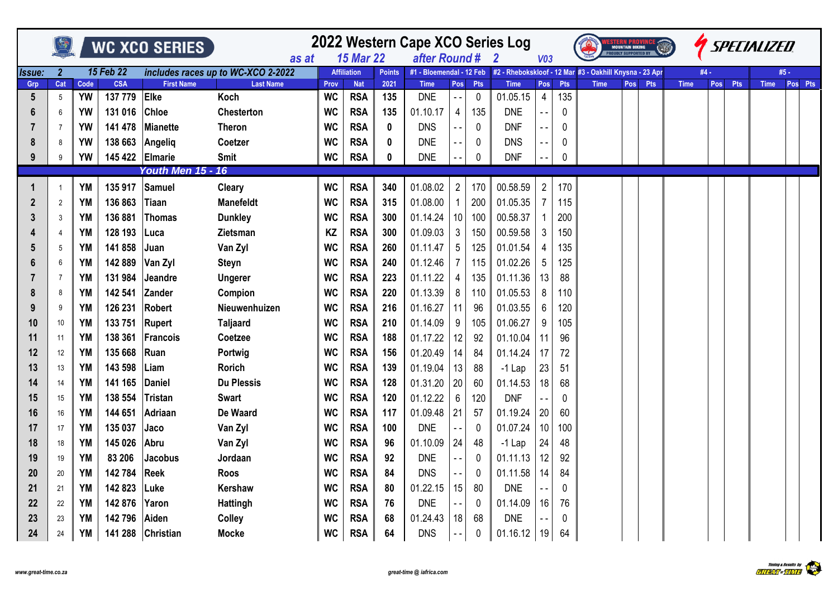|        |                 |           |                  | WC XCO SERIES            | as at                              | <b>15 Mar 22</b> | 2022 Western Cape XCO Series Log<br>after Round # |               |                          | $\mathbf{2}$    | V <sub>03</sub> |                                                         |                 | <b>MOUNTAIN BIKING</b><br><b>PROUDLY SUPPORTED BY</b> |             |     |            |             | <b><i>SPECIALIZED</i></b> |     |             |         |
|--------|-----------------|-----------|------------------|--------------------------|------------------------------------|------------------|---------------------------------------------------|---------------|--------------------------|-----------------|-----------------|---------------------------------------------------------|-----------------|-------------------------------------------------------|-------------|-----|------------|-------------|---------------------------|-----|-------------|---------|
| Issue: | $\overline{2}$  |           | <b>15 Feb 22</b> |                          | includes races up to WC-XCO 2-2022 |                  | <b>Affiliation</b>                                | <b>Points</b> | #1 - Bloemendal - 12 Feb |                 |                 | #2 - Rhebokskloof - 12 Mar #3 - Oakhill Knysna - 23 Apr |                 |                                                       |             |     |            |             | #4 -                      |     |             | #5 -    |
| Grp    | Cat             | Code      | <b>CSA</b>       | <b>First Name</b>        | <b>Last Name</b>                   | Prov             | <b>Nat</b>                                        | 2021          | <b>Time</b>              | Pos             | <b>Pts</b>      | <b>Time</b>                                             | Pos             | Pts                                                   | <b>Time</b> | Pos | <b>Pts</b> | <b>Time</b> | <b>Pos</b>                | Pts | <b>Time</b> | Pos Pts |
| 5      | 5               | YW        | 137 779          | Elke                     | Koch                               | <b>WC</b>        | <b>RSA</b>                                        | 135           | <b>DNE</b>               | $\sim$ $\sim$   | 0               | 01.05.15                                                | $\overline{4}$  | 135                                                   |             |     |            |             |                           |     |             |         |
| 6      | 6               | <b>YW</b> | 131 016          | <b>Chloe</b>             | <b>Chesterton</b>                  | <b>WC</b>        | <b>RSA</b>                                        | 135           | 01.10.17                 | 4               | 135             | <b>DNE</b>                                              |                 | $\pmb{0}$                                             |             |     |            |             |                           |     |             |         |
| 7      | $\overline{7}$  | <b>YW</b> | 141 478          | Mianette                 | <b>Theron</b>                      | WC               | <b>RSA</b>                                        | 0             | <b>DNS</b>               |                 | 0               | <b>DNF</b>                                              |                 | $\pmb{0}$                                             |             |     |            |             |                           |     |             |         |
| 8      | 8               | <b>YW</b> | 138 663          | Angeliq                  | Coetzer                            | <b>WC</b>        | <b>RSA</b>                                        | 0             | <b>DNE</b>               |                 | 0               | <b>DNS</b>                                              |                 | 0                                                     |             |     |            |             |                           |     |             |         |
| 9      | 9               | <b>YW</b> | 145 422          | Elmarie                  | <b>Smit</b>                        | <b>WC</b>        | <b>RSA</b>                                        | 0             | <b>DNE</b>               |                 | $\mathbf 0$     | <b>DNF</b>                                              |                 | $\mathbf 0$                                           |             |     |            |             |                           |     |             |         |
|        |                 |           |                  | <b>Youth Men 15 - 16</b> |                                    |                  |                                                   |               |                          |                 |                 |                                                         |                 |                                                       |             |     |            |             |                           |     |             |         |
| 1      | $\overline{1}$  | <b>YM</b> | 135 917          | Samuel                   | <b>Cleary</b>                      | <b>WC</b>        | <b>RSA</b>                                        | 340           | 01.08.02                 | $\overline{2}$  | 170             | 00.58.59                                                | $\overline{2}$  | 170                                                   |             |     |            |             |                           |     |             |         |
| 2      | $\overline{2}$  | YM        | 136 863          | Tiaan                    | <b>Manefeldt</b>                   | <b>WC</b>        | <b>RSA</b>                                        | 315           | 01.08.00                 |                 | 200             | 01.05.35                                                |                 | 115                                                   |             |     |            |             |                           |     |             |         |
| 3      | 3               | YM        | 136 881          | <b>Thomas</b>            | <b>Dunkley</b>                     | <b>WC</b>        | <b>RSA</b>                                        | 300           | 01.14.24                 | 10              | 100             | 00.58.37                                                |                 | 200                                                   |             |     |            |             |                           |     |             |         |
| 4      | $\overline{4}$  | <b>YM</b> | 128 193          | ∣Luca                    | <b>Zietsman</b>                    | KZ               | <b>RSA</b>                                        | 300           | 01.09.03                 | $\mathbf{3}$    | 150             | 00.59.58                                                | 3               | 150                                                   |             |     |            |             |                           |     |             |         |
| 5      | $5\phantom{.0}$ | <b>YM</b> | 141 858          | Juan                     | Van Zyl                            | <b>WC</b>        | <b>RSA</b>                                        | 260           | 01.11.47                 | $5\overline{)}$ | 125             | 01.01.54                                                |                 | 135                                                   |             |     |            |             |                           |     |             |         |
| 6      | $\,6\,$         | YM        | 142 889          | Van Zyl                  | <b>Steyn</b>                       | <b>WC</b>        | <b>RSA</b>                                        | 240           | 01.12.46                 | $\overline{7}$  | 115             | 01.02.26                                                | $5\phantom{.0}$ | 125                                                   |             |     |            |             |                           |     |             |         |
|        | $\overline{7}$  | <b>YM</b> | 131 984          | Jeandre                  | <b>Ungerer</b>                     | <b>WC</b>        | <b>RSA</b>                                        | 223           | 01.11.22                 | 4               | 135             | 01.11.36                                                | 13              | 88                                                    |             |     |            |             |                           |     |             |         |
| 8      | 8               | <b>YM</b> | 142 541          | Zander                   | Compion                            | <b>WC</b>        | <b>RSA</b>                                        | 220           | 01.13.39                 | 8               | 110             | 01.05.53                                                | 8               | 110                                                   |             |     |            |             |                           |     |             |         |
| 9      | 9               | YM        | 126 231          | Robert                   | Nieuwenhuizen                      | <b>WC</b>        | <b>RSA</b>                                        | 216           | 01.16.27                 | 11              | 96              | 01.03.55                                                | 6               | 120                                                   |             |     |            |             |                           |     |             |         |
| 10     | 10              | YM        | 133 751          | Rupert                   | <b>Taljaard</b>                    | <b>WC</b>        | <b>RSA</b>                                        | 210           | 01.14.09                 | 9               | 105             | 01.06.27                                                | 9               | 105                                                   |             |     |            |             |                           |     |             |         |
| 11     | 11              | <b>YM</b> | 138 361          | Francois                 | Coetzee                            | <b>WC</b>        | <b>RSA</b>                                        | 188           | 01.17.22                 | 12              | 92              | 01.10.04                                                | 11              | 96                                                    |             |     |            |             |                           |     |             |         |
| 12     | 12              | YM        | 135 668          | Ruan                     | Portwig                            | WC               | <b>RSA</b>                                        | 156           | 01.20.49                 | 14              | 84              | 01.14.24                                                | 17              | 72                                                    |             |     |            |             |                           |     |             |         |
| 13     | 13              | YM        | 143 598          | Liam                     | <b>Rorich</b>                      | <b>WC</b>        | <b>RSA</b>                                        | 139           | 01.19.04                 | 13              | 88              | $-1$ Lap                                                | 23              | 51                                                    |             |     |            |             |                           |     |             |         |
| 14     | 14              | <b>YM</b> | 141 165          | Daniel                   | Du Plessis                         | <b>WC</b>        | <b>RSA</b>                                        | 128           | 01.31.20                 | 20              | 60              | 01.14.53                                                | 18              | 68                                                    |             |     |            |             |                           |     |             |         |
| 15     | 15              | <b>YM</b> | 138 554          | <b>Tristan</b>           | <b>Swart</b>                       | <b>WC</b>        | <b>RSA</b>                                        | 120           | 01.12.22                 | 6               | 120             | <b>DNF</b>                                              |                 | 0                                                     |             |     |            |             |                           |     |             |         |
| 16     | 16              | YM        | 144 651          | Adriaan                  | De Waard                           | <b>WC</b>        | <b>RSA</b>                                        | 117           | 01.09.48                 | 21              | 57              | 01.19.24                                                | 20              | 60                                                    |             |     |            |             |                           |     |             |         |
| 17     | 17              | <b>YM</b> | 135 037          | Jaco                     | Van Zyl                            | <b>WC</b>        | <b>RSA</b>                                        | 100           | <b>DNE</b>               |                 | 0               | 01.07.24                                                | 10              | 100                                                   |             |     |            |             |                           |     |             |         |
| 18     | 18              | <b>YM</b> | 145 026          | Abru                     | Van Zyl                            | <b>WC</b>        | <b>RSA</b>                                        | 96            | 01.10.09                 | 24              | 48              | $-1$ Lap                                                | 24              | 48                                                    |             |     |            |             |                           |     |             |         |
| 19     | 19              | <b>YM</b> | 83 206           | <b>Jacobus</b>           | Jordaan                            | <b>WC</b>        | <b>RSA</b>                                        | 92            | <b>DNE</b>               |                 | 0               | 01.11.13                                                | 12              | 92                                                    |             |     |            |             |                           |     |             |         |
| 20     | 20              | YM        | 142 784          | Reek                     | Roos                               | WC               | <b>RSA</b>                                        | 84            | <b>DNS</b>               | $ -$            | 0               | 01.11.58                                                | 14              | 84                                                    |             |     |            |             |                           |     |             |         |
| 21     | 21              | <b>YM</b> | 142 823          | Luke                     | Kershaw                            | <b>WC</b>        | <b>RSA</b>                                        | 80            | 01.22.15                 | 15              | 80              | <b>DNE</b>                                              |                 | $\mathbf 0$                                           |             |     |            |             |                           |     |             |         |
| 22     | 22              | <b>YM</b> | 142 876          | Yaron                    | <b>Hattingh</b>                    | <b>WC</b>        | <b>RSA</b>                                        | 76            | <b>DNE</b>               |                 | $\mathbf{0}$    | 01.14.09                                                | 16              | 76                                                    |             |     |            |             |                           |     |             |         |
| 23     | 23              | YM        | 142 796          | Aiden                    | <b>Colley</b>                      | <b>WC</b>        | <b>RSA</b>                                        | 68            | 01.24.43                 | 18              | 68              | <b>DNE</b>                                              |                 | $\mathbf 0$                                           |             |     |            |             |                           |     |             |         |
| 24     | 24              | YM        | 141 288          | Christian                | <b>Mocke</b>                       | <b>WC</b>        | <b>RSA</b>                                        | 64            | <b>DNS</b>               |                 | 0               | 01.16.12                                                | 19              | 64                                                    |             |     |            |             |                           |     |             |         |

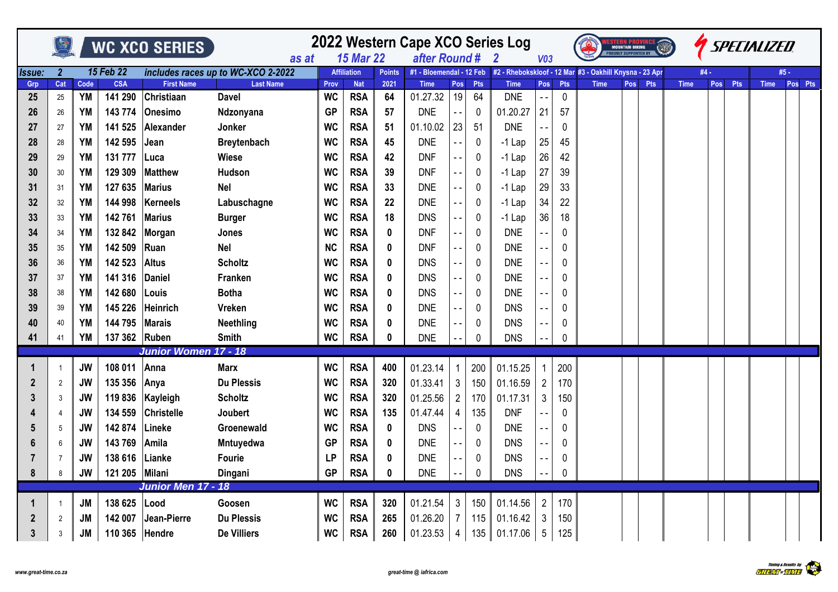|          |                |                   |                       |                                 |                                  | 2022 Western Cape XCO Series Log<br>WC XCO SERIES<br>MOUNTAIN BIKING<br>ROUDLY SUPPORTED BY<br>after Round #<br><b>15 Mar 22</b><br>V <sub>03</sub><br>$\overline{\mathbf{2}}$<br>as at<br>15 Feb 22<br>includes races up to WC-XCO 2-2022<br>#2 - Rhebokskloof - 12 Mar #3 - Oakhill Knysna - 23 Apr<br>Issue:<br>$\overline{2}$<br><b>Affiliation</b><br>#1 - Bloemendal - 12 Feb<br><b>Points</b> |                          |             |                         |                  |           |                           |                                   |                   |             |     |     |             |      |     | SPECIALIZED |         |
|----------|----------------|-------------------|-----------------------|---------------------------------|----------------------------------|------------------------------------------------------------------------------------------------------------------------------------------------------------------------------------------------------------------------------------------------------------------------------------------------------------------------------------------------------------------------------------------------------|--------------------------|-------------|-------------------------|------------------|-----------|---------------------------|-----------------------------------|-------------------|-------------|-----|-----|-------------|------|-----|-------------|---------|
|          |                |                   |                       |                                 |                                  |                                                                                                                                                                                                                                                                                                                                                                                                      |                          |             |                         |                  |           |                           |                                   |                   |             |     |     |             |      |     |             |         |
|          |                |                   |                       |                                 |                                  |                                                                                                                                                                                                                                                                                                                                                                                                      |                          |             |                         |                  |           |                           |                                   |                   |             |     |     |             | #4 - |     |             | #5 -    |
| Grp      | Cat            | Code<br><b>YM</b> | <b>CSA</b><br>141 290 | <b>First Name</b><br>Christiaan | <b>Last Name</b><br><b>Davel</b> | Prov<br><b>WC</b>                                                                                                                                                                                                                                                                                                                                                                                    | <b>Nat</b>               | 2021<br>64  | <b>Time</b><br>01.27.32 | <b>Pos</b><br>19 | Pts<br>64 | <b>Time</b><br><b>DNE</b> | Pos<br>$\mathbb{Z}^{\frac{1}{2}}$ | Pts               | <b>Time</b> | Pos | Pts | <b>Time</b> | Pos  | Pts | <b>Time</b> | Pos Pts |
| 25       | 25             |                   |                       |                                 |                                  |                                                                                                                                                                                                                                                                                                                                                                                                      | <b>RSA</b>               |             |                         |                  |           |                           |                                   | $\mathbf 0$       |             |     |     |             |      |     |             |         |
| 26       | 26             | YM                | 143 774               | Onesimo                         | Ndzonyana                        | <b>GP</b>                                                                                                                                                                                                                                                                                                                                                                                            | <b>RSA</b>               | 57          | <b>DNE</b>              |                  | 0         | 01.20.27                  | 21                                | 57                |             |     |     |             |      |     |             |         |
| 27       | 27             | YM<br><b>YM</b>   | 141 525<br>142 595    | Alexander<br>Jean               | Jonker<br><b>Breytenbach</b>     | <b>WC</b><br><b>WC</b>                                                                                                                                                                                                                                                                                                                                                                               | <b>RSA</b><br><b>RSA</b> | 51<br>45    | 01.10.02<br><b>DNE</b>  | 23               | 51        | <b>DNE</b><br>$-1$ Lap    |                                   | $\mathbf 0$<br>45 |             |     |     |             |      |     |             |         |
| 28       | 28<br>29       | <b>YM</b>         | 131 777               |                                 | Wiese                            | <b>WC</b>                                                                                                                                                                                                                                                                                                                                                                                            | <b>RSA</b>               | 42          | <b>DNF</b>              |                  | 0<br>0    |                           | 25<br>26                          | 42                |             |     |     |             |      |     |             |         |
| 29<br>30 | 30             | <b>YM</b>         | 129 309               | lLuca<br>Matthew                | Hudson                           | <b>WC</b>                                                                                                                                                                                                                                                                                                                                                                                            | <b>RSA</b>               | 39          | <b>DNF</b>              | $ -$             |           | $-1$ Lap                  | 27                                | 39                |             |     |     |             |      |     |             |         |
|          |                | <b>YM</b>         | 127 635               | Marius                          | <b>Nel</b>                       | <b>WC</b>                                                                                                                                                                                                                                                                                                                                                                                            | <b>RSA</b>               | 33          | <b>DNE</b>              |                  | 0<br>0    | $-1$ Lap<br>$-1$ Lap      | 29                                | 33                |             |     |     |             |      |     |             |         |
| 31<br>32 | 31<br>32       | <b>YM</b>         | 144 998               | Kerneels                        | Labuschagne                      | <b>WC</b>                                                                                                                                                                                                                                                                                                                                                                                            | <b>RSA</b>               | 22          | <b>DNE</b>              |                  | 0         | $-1$ Lap                  | 34                                | 22                |             |     |     |             |      |     |             |         |
| 33       | 33             | <b>YM</b>         | 142 761               | <b>Marius</b>                   | <b>Burger</b>                    | <b>WC</b>                                                                                                                                                                                                                                                                                                                                                                                            | <b>RSA</b>               | 18          | <b>DNS</b>              |                  | 0         | $-1$ Lap                  | 36                                | 18                |             |     |     |             |      |     |             |         |
| 34       | 34             | YM                | 132 842               | Morgan                          | Jones                            | <b>WC</b>                                                                                                                                                                                                                                                                                                                                                                                            | <b>RSA</b>               | 0           | <b>DNF</b>              |                  | 0         | <b>DNE</b>                |                                   | 0                 |             |     |     |             |      |     |             |         |
| 35       | 35             | <b>YM</b>         | 142 509               | Ruan                            | <b>Nel</b>                       | <b>NC</b>                                                                                                                                                                                                                                                                                                                                                                                            | <b>RSA</b>               | $\mathbf 0$ | <b>DNF</b>              | $\sim$ $\sim$    | 0         | <b>DNE</b>                | $\overline{a}$                    | 0                 |             |     |     |             |      |     |             |         |
| 36       | 36             | YM                | 142 523               | <b>Altus</b>                    | <b>Scholtz</b>                   | <b>WC</b>                                                                                                                                                                                                                                                                                                                                                                                            | <b>RSA</b>               | 0           | <b>DNS</b>              |                  | 0         | <b>DNE</b>                | $\overline{a}$                    | 0                 |             |     |     |             |      |     |             |         |
| 37       | 37             | YM                | 141 316               | <b>Daniel</b>                   | Franken                          | <b>WC</b>                                                                                                                                                                                                                                                                                                                                                                                            | <b>RSA</b>               | 0           | <b>DNS</b>              |                  | 0         | <b>DNE</b>                |                                   | 0                 |             |     |     |             |      |     |             |         |
| 38       | 38             | YM                | 142 680               | Louis                           | <b>Botha</b>                     | <b>WC</b>                                                                                                                                                                                                                                                                                                                                                                                            | <b>RSA</b>               | 0           | <b>DNS</b>              |                  | 0         | <b>DNE</b>                |                                   | 0                 |             |     |     |             |      |     |             |         |
| 39       | 39             | <b>YM</b>         | 145 226               | Heinrich                        | Vreken                           | <b>WC</b>                                                                                                                                                                                                                                                                                                                                                                                            | <b>RSA</b>               | $\mathbf 0$ | <b>DNE</b>              |                  | 0         | <b>DNS</b>                |                                   | 0                 |             |     |     |             |      |     |             |         |
| 40       | 40             | <b>YM</b>         | 144 795               | <b>Marais</b>                   | <b>Neethling</b>                 | <b>WC</b>                                                                                                                                                                                                                                                                                                                                                                                            | <b>RSA</b>               | 0           | <b>DNE</b>              |                  | 0         | <b>DNS</b>                | $ -$                              | 0                 |             |     |     |             |      |     |             |         |
| 41       | 41             | YM                | 137 362 Ruben         |                                 | <b>Smith</b>                     | <b>WC</b>                                                                                                                                                                                                                                                                                                                                                                                            | <b>RSA</b>               | 0           | <b>DNE</b>              |                  | 0         | <b>DNS</b>                |                                   | 0                 |             |     |     |             |      |     |             |         |
|          |                |                   |                       | Junior Women 17 - 18            |                                  |                                                                                                                                                                                                                                                                                                                                                                                                      |                          |             |                         |                  |           |                           |                                   |                   |             |     |     |             |      |     |             |         |
|          | 1              | <b>JW</b>         | 108 011               | Anna                            | <b>Marx</b>                      | <b>WC</b>                                                                                                                                                                                                                                                                                                                                                                                            | <b>RSA</b>               | 400         | 01.23.14                | 1                | 200       | 01.15.25                  | 1                                 | 200               |             |     |     |             |      |     |             |         |
| 2        | $\overline{2}$ | <b>JW</b>         | 135 356               | Anya                            | <b>Du Plessis</b>                | <b>WC</b>                                                                                                                                                                                                                                                                                                                                                                                            | <b>RSA</b>               | 320         | 01.33.41                | 3 <sup>1</sup>   | 150       | 01.16.59                  | $\overline{2}$                    | 170               |             |     |     |             |      |     |             |         |
| 3        | 3              | <b>JW</b>         | 119 836               | Kayleigh                        | <b>Scholtz</b>                   | <b>WC</b>                                                                                                                                                                                                                                                                                                                                                                                            | <b>RSA</b>               | 320         | 01.25.56                | $\overline{c}$   | 170       | 01.17.31                  | 3                                 | 150               |             |     |     |             |      |     |             |         |
|          | 4              | <b>JW</b>         | 134 559               | <b>Christelle</b>               | Joubert                          | <b>WC</b>                                                                                                                                                                                                                                                                                                                                                                                            | <b>RSA</b>               | 135         | 01.47.44                | 4                | 135       | <b>DNF</b>                |                                   | 0                 |             |     |     |             |      |     |             |         |
| 5        | 5              | <b>JW</b>         | 142 874               | Lineke                          | Groenewald                       | <b>WC</b>                                                                                                                                                                                                                                                                                                                                                                                            | <b>RSA</b>               | $\mathbf 0$ | <b>DNS</b>              |                  | 0         | <b>DNE</b>                |                                   | 0                 |             |     |     |             |      |     |             |         |
|          | 6              | JW                | 143 769               | Amila                           | Mntuyedwa                        | <b>GP</b>                                                                                                                                                                                                                                                                                                                                                                                            | <b>RSA</b>               | 0           | <b>DNE</b>              |                  | 0         | <b>DNS</b>                |                                   | 0                 |             |     |     |             |      |     |             |         |
|          | $\overline{7}$ | JW                | 138 616               | Lianke                          | Fourie                           | <b>LP</b>                                                                                                                                                                                                                                                                                                                                                                                            | <b>RSA</b>               | 0           | <b>DNE</b>              |                  | 0         | <b>DNS</b>                |                                   | 0                 |             |     |     |             |      |     |             |         |
| 8        | 8              | JW                | 121 205 Milani        |                                 | Dingani                          | <b>GP</b>                                                                                                                                                                                                                                                                                                                                                                                            | <b>RSA</b>               | 0           | <b>DNE</b>              |                  | 0         | <b>DNS</b>                |                                   | $\mathbf 0$       |             |     |     |             |      |     |             |         |
|          |                |                   |                       | Junior Men 17 - 18              |                                  |                                                                                                                                                                                                                                                                                                                                                                                                      |                          |             |                         |                  |           |                           |                                   |                   |             |     |     |             |      |     |             |         |
|          | -1             | JM                | 138 625               | Lood                            | Goosen                           | <b>WC</b>                                                                                                                                                                                                                                                                                                                                                                                            | <b>RSA</b>               | 320         | 01.21.54                | 3 <sup>1</sup>   | 150       | 01.14.56                  | $\overline{2}$                    | 170               |             |     |     |             |      |     |             |         |
| 2        | $\overline{2}$ | <b>JM</b>         | 142 007               | Jean-Pierre                     | <b>Du Plessis</b>                | <b>WC</b>                                                                                                                                                                                                                                                                                                                                                                                            | <b>RSA</b>               | 265         | 01.26.20                | $\overline{7}$   | 115       | 01.16.42                  | 3                                 | 150               |             |     |     |             |      |     |             |         |
| 3        | 3              | <b>JM</b>         | 110 365               | Hendre                          | <b>De Villiers</b>               | <b>WC</b>                                                                                                                                                                                                                                                                                                                                                                                            | <b>RSA</b>               | 260         | 01.23.53                | 4                |           | 135 01.17.06              | $5\overline{)}$                   | 125               |             |     |     |             |      |     |             |         |

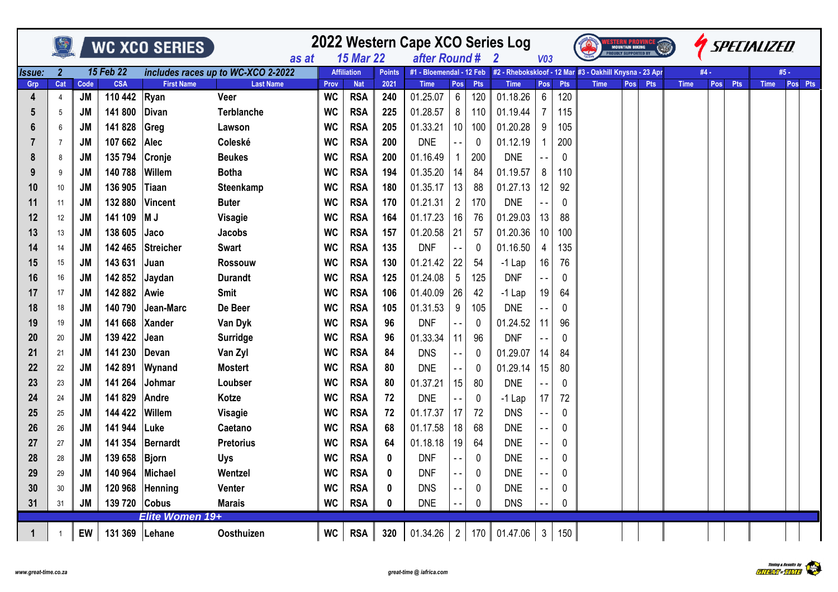|             |                |           |                  | <b>WC XCO SERIES</b> | as at                              | 2022 Western Cape XCO Series Log<br>after Round # |                                        |               |                          | V <sub>03</sub> |            |                                                         | <b>MOUNTAIN BIKING</b><br><b>PROUDLY SUPPORTED BY</b> |          | $\sqrt{10}$ |     |     |             | <b><i>ISPECIALIZED</i></b> |     |     |             |         |
|-------------|----------------|-----------|------------------|----------------------|------------------------------------|---------------------------------------------------|----------------------------------------|---------------|--------------------------|-----------------|------------|---------------------------------------------------------|-------------------------------------------------------|----------|-------------|-----|-----|-------------|----------------------------|-----|-----|-------------|---------|
| Issue:      | $\mathbf{2}$   |           | <b>15 Feb 22</b> |                      | includes races up to WC-XCO 2-2022 |                                                   | <b>15 Mar 22</b><br><b>Affiliation</b> | <b>Points</b> | #1 - Bloemendal - 12 Feb |                 |            | #2 - Rhebokskloof - 12 Mar #3 - Oakhill Knysna - 23 Apr |                                                       |          |             |     |     |             | #4 -                       |     |     | #5 -        |         |
| Grp         | Cat            | Code      | <b>CSA</b>       | <b>First Name</b>    | <b>Last Name</b>                   | Prov                                              | <b>Nat</b>                             | 2021          | <b>Time</b>              | Pos             | <b>Pts</b> | <b>Time</b>                                             | Pos                                                   | Pts      | <b>Time</b> | Pos | Pts | <b>Time</b> |                            | Pos | Pts | <b>Time</b> | Pos Pts |
| 4           | $\overline{4}$ | <b>JM</b> | 110 442          | Ryan                 | Veer                               | <b>WC</b>                                         | <b>RSA</b>                             | 240           | 01.25.07                 | $6^{\circ}$     | 120        | 01.18.26                                                | $6\overline{6}$                                       | 120      |             |     |     |             |                            |     |     |             |         |
| 5           | 5              | <b>JM</b> | 141 800          | <b>Divan</b>         | <b>Terblanche</b>                  | <b>WC</b>                                         | <b>RSA</b>                             | 225           | 01.28.57                 | 8               | 110        | 01.19.44                                                | 7                                                     | 115      |             |     |     |             |                            |     |     |             |         |
| 6           | 6              | <b>JM</b> | 141 828          | Greg                 | Lawson                             | <b>WC</b>                                         | <b>RSA</b>                             | 205           | 01.33.21                 | 10 <sup>1</sup> | 100        | 01.20.28                                                | 9                                                     | 105      |             |     |     |             |                            |     |     |             |         |
|             | $\overline{7}$ | JM        | 107 662          | <b>Alec</b>          | Coleské                            | <b>WC</b>                                         | <b>RSA</b>                             | 200           | <b>DNE</b>               |                 | 0          | 01.12.19                                                |                                                       | 200      |             |     |     |             |                            |     |     |             |         |
| 8           | 8              | JM        | 135 794          | Cronje               | <b>Beukes</b>                      | <b>WC</b>                                         | <b>RSA</b>                             | 200           | 01.16.49                 | -1              | 200        | <b>DNE</b>                                              |                                                       | 0        |             |     |     |             |                            |     |     |             |         |
| 9           | 9              | JM        | 140 788          | Willem               | <b>Botha</b>                       | <b>WC</b>                                         | <b>RSA</b>                             | 194           | 01.35.20                 | 14              | 84         | 01.19.57                                                | 8                                                     | 110      |             |     |     |             |                            |     |     |             |         |
| 10          | 10             | <b>JM</b> | 136 905          | Tiaan                | Steenkamp                          | <b>WC</b>                                         | <b>RSA</b>                             | 180           | 01.35.17                 | 13              | 88         | 01.27.13                                                | 12                                                    | 92       |             |     |     |             |                            |     |     |             |         |
| 11          | 11             | <b>JM</b> | 132 880          | Vincent              | <b>Buter</b>                       | <b>WC</b>                                         | <b>RSA</b>                             | 170           | 01.21.31                 | $\overline{2}$  | 170        | <b>DNE</b>                                              |                                                       | 0        |             |     |     |             |                            |     |     |             |         |
| 12          | 12             | JM        | 141 109          | M J                  | Visagie                            | <b>WC</b>                                         | <b>RSA</b>                             | 164           | 01.17.23                 | 16              | 76         | 01.29.03                                                | 13                                                    | 88       |             |     |     |             |                            |     |     |             |         |
| 13          | 13             | <b>JM</b> | 138 605          | Jaco                 | <b>Jacobs</b>                      | <b>WC</b>                                         | <b>RSA</b>                             | 157           | 01.20.58                 | 21              | 57         | 01.20.36                                                | 10                                                    | 100      |             |     |     |             |                            |     |     |             |         |
| 14          | 14             | JM        | 142 465          | <b>Streicher</b>     | <b>Swart</b>                       | <b>WC</b>                                         | <b>RSA</b>                             | 135           | <b>DNF</b>               | $-$             | 0          | 01.16.50                                                | 4                                                     | 135      |             |     |     |             |                            |     |     |             |         |
| 15          | 15             | JM        | 143 631          | Juan                 | <b>Rossouw</b>                     | <b>WC</b>                                         | <b>RSA</b>                             | 130           | 01.21.42                 | 22              | 54         | $-1$ Lap                                                | 16                                                    | 76       |             |     |     |             |                            |     |     |             |         |
| 16          | 16             | <b>JM</b> | 142 852          | Jaydan               | <b>Durandt</b>                     | <b>WC</b>                                         | <b>RSA</b>                             | 125           | 01.24.08                 | 5               | 125        | <b>DNF</b>                                              |                                                       | $\Omega$ |             |     |     |             |                            |     |     |             |         |
| 17          | 17             | JM        | 142 882          | Awie                 | <b>Smit</b>                        | <b>WC</b>                                         | <b>RSA</b>                             | 106           | 01.40.09                 | 26              | 42         | $-1$ Lap                                                | 19                                                    | 64       |             |     |     |             |                            |     |     |             |         |
| 18          | 18             | <b>JM</b> | 140 790          | Jean-Marc            | De Beer                            | <b>WC</b>                                         | <b>RSA</b>                             | 105           | 01.31.53                 | 9               | 105        | <b>DNE</b>                                              |                                                       | 0        |             |     |     |             |                            |     |     |             |         |
| 19          | 19             | JM        | 141 668          | <b>Xander</b>        | Van Dyk                            | <b>WC</b>                                         | <b>RSA</b>                             | 96            | <b>DNF</b>               |                 | 0          | 01.24.52                                                | 11                                                    | 96       |             |     |     |             |                            |     |     |             |         |
| 20          | 20             | JM        | 139 422          | Jean                 | <b>Surridge</b>                    | <b>WC</b>                                         | <b>RSA</b>                             | 96            | 01.33.34                 | 11              | 96         | <b>DNF</b>                                              |                                                       | 0        |             |     |     |             |                            |     |     |             |         |
| 21          | 21             | <b>JM</b> | 141 230          | Devan                | Van Zyl                            | <b>WC</b>                                         | <b>RSA</b>                             | 84            | <b>DNS</b>               |                 | 0          | 01.29.07                                                | 14                                                    | 84       |             |     |     |             |                            |     |     |             |         |
| 22          | 22             | JM        | 142 891          | Wynand               | <b>Mostert</b>                     | <b>WC</b>                                         | <b>RSA</b>                             | 80            | <b>DNE</b>               |                 | 0          | 01.29.14                                                | 15                                                    | 80       |             |     |     |             |                            |     |     |             |         |
| 23          | 23             | <b>JM</b> | 141 264          | Johmar               | Loubser                            | <b>WC</b>                                         | <b>RSA</b>                             | 80            | 01.37.21                 | 15              | 80         | <b>DNE</b>                                              |                                                       | 0        |             |     |     |             |                            |     |     |             |         |
| 24          | 24             | JM        | 141 829          | Andre                | Kotze                              | <b>WC</b>                                         | <b>RSA</b>                             | 72            | <b>DNE</b>               |                 | 0          | $-1$ Lap                                                | 17                                                    | 72       |             |     |     |             |                            |     |     |             |         |
| 25          | 25             | <b>JM</b> | 144 422          | Willem               | Visagie                            | <b>WC</b>                                         | <b>RSA</b>                             | 72            | 01.17.37                 | 17              | 72         | <b>DNS</b>                                              |                                                       | 0        |             |     |     |             |                            |     |     |             |         |
| 26          | 26             | <b>JM</b> | 141 944          | Luke                 | Caetano                            | <b>WC</b>                                         | <b>RSA</b>                             | 68            | 01.17.58                 | 18              | 68         | <b>DNE</b>                                              |                                                       | 0        |             |     |     |             |                            |     |     |             |         |
| 27          | 27             | JM        | 141 354          | Bernardt             | <b>Pretorius</b>                   | <b>WC</b>                                         | <b>RSA</b>                             | 64            | 01.18.18                 | 19              | 64         | <b>DNE</b>                                              |                                                       | 0        |             |     |     |             |                            |     |     |             |         |
| 28          | 28             | <b>JM</b> | 139 658          | Bjorn                | <b>Uys</b>                         | <b>WC</b>                                         | <b>RSA</b>                             | $\mathbf 0$   | <b>DNF</b>               |                 | 0          | <b>DNE</b>                                              |                                                       | 0        |             |     |     |             |                            |     |     |             |         |
| 29          | 29             | JM        | 140 964          | Michael              | Wentzel                            | <b>WC</b>                                         | <b>RSA</b>                             | 0             | <b>DNF</b>               | $ -$            | 0          | <b>DNE</b>                                              |                                                       | 0        |             |     |     |             |                            |     |     |             |         |
| 30          | 30             | JM        | 120 968          | Henning              | Venter                             | <b>WC</b>                                         | <b>RSA</b>                             | $\bf{0}$      | <b>DNS</b>               |                 | 0          | <b>DNE</b>                                              |                                                       | 0        |             |     |     |             |                            |     |     |             |         |
| 31          | 31             | JM        | 139 720          | <b>Cobus</b>         | <b>Marais</b>                      | <b>WC</b>                                         | <b>RSA</b>                             | 0             | <b>DNE</b>               |                 | 0          | <b>DNS</b>                                              |                                                       | 0        |             |     |     |             |                            |     |     |             |         |
|             |                |           |                  | Elite Women 19+      |                                    |                                                   |                                        |               |                          |                 |            |                                                         |                                                       |          |             |     |     |             |                            |     |     |             |         |
| $\mathbf 1$ | $\mathbf{1}$   | EW        | 131 369          | <b>Lehane</b>        | Oosthuizen                         | <b>WC</b>                                         | <b>RSA</b>                             | 320           | 01.34.26                 | 2 <sup>1</sup>  |            | 170 01.47.06                                            | 3 <sup>1</sup>                                        | 150      |             |     |     |             |                            |     |     |             |         |

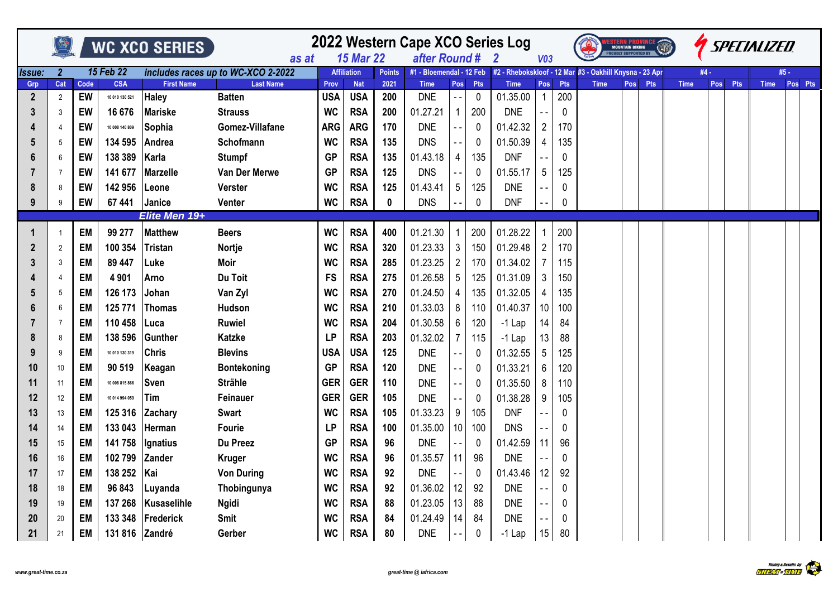|              |                |           |                  | WC XCO SERIES     | as at                              |            | <b>15 Mar 22</b>   |               | 2022 Western Cape XCO Series Log<br>after Round # |                |            | -2                                                                               | V <sub>03</sub> |            |             | <b>MOUNTAIN BIKING</b><br><b>PROUDLY SUPPORTED BY</b> |            |             |      |     | <b><i>ISPECIALIZED</i></b> |         |
|--------------|----------------|-----------|------------------|-------------------|------------------------------------|------------|--------------------|---------------|---------------------------------------------------|----------------|------------|----------------------------------------------------------------------------------|-----------------|------------|-------------|-------------------------------------------------------|------------|-------------|------|-----|----------------------------|---------|
| Issue:       | $\mathbf{2}$   |           | <b>15 Feb 22</b> |                   | includes races up to WC-XCO 2-2022 |            | <b>Affiliation</b> | <b>Points</b> |                                                   |                |            | #1 - Bloemendal - 12 Feb #2 - Rhebokskloof - 12 Mar #3 - Oakhill Knysna - 23 Apr |                 |            |             |                                                       |            |             | #4 - |     |                            | #5 -    |
| Grp          | Cat            | Code      | <b>CSA</b>       | <b>First Name</b> | <b>Last Name</b>                   | Prov       | <b>Nat</b>         | 2021          | <b>Time</b>                                       | Pos            | <b>Pts</b> | <b>Time</b>                                                                      | Pos             | <b>Pts</b> | <b>Time</b> | Pos                                                   | <b>Pts</b> | <b>Time</b> | Pos  | Pts | <b>Time</b>                | Pos Pts |
| $\mathbf{2}$ | $\overline{2}$ | EW        | 10 010 130 521   | <b>Haley</b>      | <b>Batten</b>                      | <b>USA</b> | <b>USA</b>         | 200           | <b>DNE</b>                                        | $\sim$ $-$     | 0          | 01.35.00                                                                         | $\mathbf{1}$    | 200        |             |                                                       |            |             |      |     |                            |         |
| 3            | 3              | EW        | 16 676           | Mariske           | <b>Strauss</b>                     | <b>WC</b>  | <b>RSA</b>         | 200           | 01.27.21                                          | 1              | 200        | <b>DNE</b>                                                                       |                 | 0          |             |                                                       |            |             |      |     |                            |         |
| 4            |                | EW        | 10 008 140 809   | Sophia            | Gomez-Villafane                    | <b>ARG</b> | <b>ARG</b>         | 170           | <b>DNE</b>                                        |                | 0          | 01.42.32                                                                         | $\overline{2}$  | 170        |             |                                                       |            |             |      |     |                            |         |
| 5            | 5              | EW        | 134 595          | Andrea            | Schofmann                          | <b>WC</b>  | <b>RSA</b>         | 135           | <b>DNS</b>                                        |                | 0          | 01.50.39                                                                         | 4               | 135        |             |                                                       |            |             |      |     |                            |         |
| 6            | 6              | EW        | 138 389          | Karla             | <b>Stumpf</b>                      | <b>GP</b>  | <b>RSA</b>         | 135           | 01.43.18                                          | 4              | 135        | <b>DNF</b>                                                                       |                 | 0          |             |                                                       |            |             |      |     |                            |         |
|              | 7              | EW        | 141 677          | Marzelle          | Van Der Merwe                      | <b>GP</b>  | <b>RSA</b>         | 125           | <b>DNS</b>                                        | $\sim$ $\sim$  | 0          | 01.55.17                                                                         | 5               | 125        |             |                                                       |            |             |      |     |                            |         |
| 8            | 8              | EW        | 142 956          | Leone             | <b>Verster</b>                     | <b>WC</b>  | <b>RSA</b>         | 125           | 01.43.41                                          | 5              | 125        | <b>DNE</b>                                                                       |                 | 0          |             |                                                       |            |             |      |     |                            |         |
| 9            | 9              | EW        | 67 441           | Janice            | Venter                             | <b>WC</b>  | <b>RSA</b>         | 0             | <b>DNS</b>                                        |                | 0          | <b>DNF</b>                                                                       |                 | 0          |             |                                                       |            |             |      |     |                            |         |
|              |                |           |                  | Elite Men 19+     |                                    |            |                    |               |                                                   |                |            |                                                                                  |                 |            |             |                                                       |            |             |      |     |                            |         |
|              | -1             | EM        | 99 277           | <b>Matthew</b>    | <b>Beers</b>                       | <b>WC</b>  | <b>RSA</b>         | 400           | 01.21.30                                          | 1              | 200        | 01.28.22                                                                         |                 | 200        |             |                                                       |            |             |      |     |                            |         |
| 2            | $\overline{2}$ | EM        | 100 354          | <b>Tristan</b>    | Nortje                             | <b>WC</b>  | <b>RSA</b>         | 320           | 01.23.33                                          | 3 <sup>1</sup> | 150        | 01.29.48                                                                         | $\overline{2}$  | 170        |             |                                                       |            |             |      |     |                            |         |
| 3            | 3              | EM        | 89 447           | Luke              | Moir                               | <b>WC</b>  | <b>RSA</b>         | 285           | 01.23.25                                          | $2^{\circ}$    | 170        | 01.34.02                                                                         | 7               | 115        |             |                                                       |            |             |      |     |                            |         |
|              |                | EM        | 4 9 0 1          | Arno              | Du Toit                            | <b>FS</b>  | <b>RSA</b>         | 275           | 01.26.58                                          | 5 <sup>5</sup> | 125        | 01.31.09                                                                         | 3               | 150        |             |                                                       |            |             |      |     |                            |         |
| 5            | 5              | EM        | 126 173          | Johan             | Van Zyl                            | <b>WC</b>  | <b>RSA</b>         | 270           | 01.24.50                                          | 4              | 135        | 01.32.05                                                                         | 4               | 135        |             |                                                       |            |             |      |     |                            |         |
| 6            | 6              | <b>EM</b> | 125 771          | Thomas            | Hudson                             | <b>WC</b>  | <b>RSA</b>         | 210           | 01.33.03                                          | 8              | 110        | 01.40.37                                                                         | 10              | 100        |             |                                                       |            |             |      |     |                            |         |
|              | $\overline{7}$ | EM        | 110 458          | ∣Luca             | <b>Ruwiel</b>                      | <b>WC</b>  | <b>RSA</b>         | 204           | 01.30.58                                          | 6              | 120        | $-1$ Lap                                                                         | 14              | 84         |             |                                                       |            |             |      |     |                            |         |
| 8            | 8              | EM        | 138 596          | Gunther           | <b>Katzke</b>                      | LP         | <b>RSA</b>         | 203           | 01.32.02                                          | $\overline{7}$ | 115        | $-1$ Lap                                                                         | 13              | 88         |             |                                                       |            |             |      |     |                            |         |
| 9            | 9              | EM        | 10 010 130 319   | <b>Chris</b>      | <b>Blevins</b>                     | <b>USA</b> | <b>USA</b>         | 125           | <b>DNE</b>                                        |                | 0          | 01.32.55                                                                         | 5               | 125        |             |                                                       |            |             |      |     |                            |         |
| 10           | 10             | EM        | 90 519           | Keagan            | <b>Bontekoning</b>                 | <b>GP</b>  | <b>RSA</b>         | 120           | <b>DNE</b>                                        |                | 0          | 01.33.21                                                                         | 6               | 120        |             |                                                       |            |             |      |     |                            |         |
| 11           | 11             | <b>EM</b> | 10 008 815 866   | <b>Sven</b>       | <b>Strähle</b>                     | <b>GER</b> | <b>GER</b>         | 110           | <b>DNE</b>                                        | $ -$           | 0          | 01.35.50                                                                         | 8               | 110        |             |                                                       |            |             |      |     |                            |         |
| 12           | 12             | EM        | 10 014 994 059   | Tim               | Feinauer                           | <b>GER</b> | <b>GER</b>         | 105           | <b>DNE</b>                                        | $ -$           | 0          | 01.38.28                                                                         | 9               | 105        |             |                                                       |            |             |      |     |                            |         |
| 13           | 13             | <b>EM</b> | 125 316          | Zachary           | <b>Swart</b>                       | <b>WC</b>  | <b>RSA</b>         | 105           | 01.33.23                                          | 9              | 105        | <b>DNF</b>                                                                       |                 | 0          |             |                                                       |            |             |      |     |                            |         |
| 14           | 14             | EM        | 133 043          | Herman            | Fourie                             | LP         | <b>RSA</b>         | 100           | 01.35.00                                          | 10             | 100        | <b>DNS</b>                                                                       |                 | 0          |             |                                                       |            |             |      |     |                            |         |
| 15           | 15             | EM        | 141 758          | Ignatius          | Du Preez                           | <b>GP</b>  | <b>RSA</b>         | 96            | <b>DNE</b>                                        |                | 0          | 01.42.59                                                                         | 11              | 96         |             |                                                       |            |             |      |     |                            |         |
| 16           | 16             | <b>EM</b> | 102 799          | Zander            | <b>Kruger</b>                      | <b>WC</b>  | <b>RSA</b>         | 96            | 01.35.57                                          | 11             | 96         | <b>DNE</b>                                                                       |                 | 0          |             |                                                       |            |             |      |     |                            |         |
| 17           | 17             | EM        | 138 252          | Kai               | <b>Von During</b>                  | <b>WC</b>  | <b>RSA</b>         | 92            | <b>DNE</b>                                        | $ -$           | 0          | 01.43.46                                                                         | 12              | 92         |             |                                                       |            |             |      |     |                            |         |
| 18           | 18             | EM        | 96 843           | Luyanda           | Thobingunya                        | <b>WC</b>  | <b>RSA</b>         | 92            | 01.36.02                                          | 12             | 92         | <b>DNE</b>                                                                       |                 | $\Omega$   |             |                                                       |            |             |      |     |                            |         |
| 19           | 19             | EM        | 137 268          | Kusaselihle       | <b>Ngidi</b>                       | <b>WC</b>  | <b>RSA</b>         | 88            | 01.23.05                                          | 13             | 88         | <b>DNE</b>                                                                       |                 | 0          |             |                                                       |            |             |      |     |                            |         |
| 20           | 20             | EM        | 133 348          | Frederick         | <b>Smit</b>                        | <b>WC</b>  | <b>RSA</b>         | 84            | 01.24.49                                          | 14             | 84         | <b>DNE</b>                                                                       |                 | 0          |             |                                                       |            |             |      |     |                            |         |
| 21           | 21             | EM        | 131 816 Zandré   |                   | Gerber                             | <b>WC</b>  | <b>RSA</b>         | 80            | <b>DNE</b>                                        |                | 0          | $-1$ Lap                                                                         | 15              | 80         |             |                                                       |            |             |      |     |                            |         |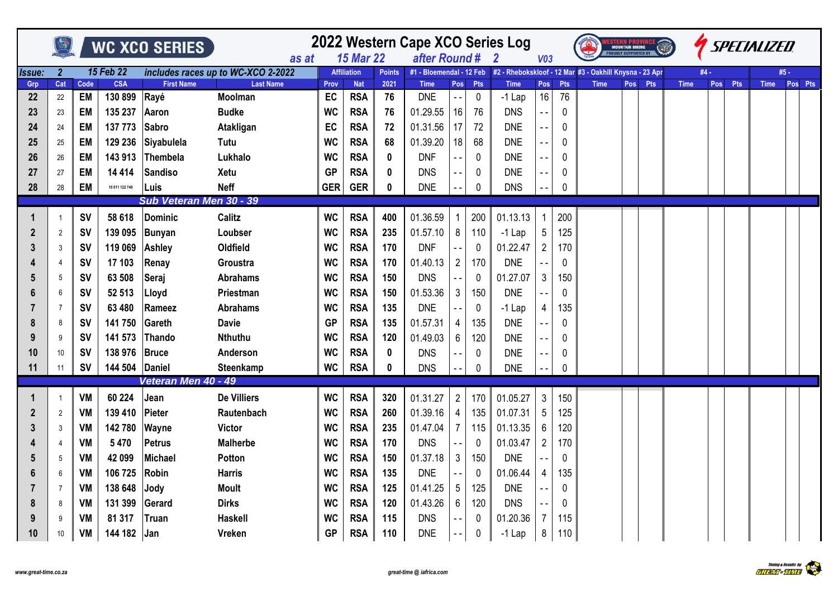|                  |                |            |                       | WC XCO SERIES             |                                    |            |                          |               | 2022 Western Cape XCO Series Log |                   |                    |                                                                                    |                 |           |             | NO <b>I EAN FAUVING</b><br>Mountain Biking<br>Roudly Supported By |            |             |      |     | SPECIALIZED |         |
|------------------|----------------|------------|-----------------------|---------------------------|------------------------------------|------------|--------------------------|---------------|----------------------------------|-------------------|--------------------|------------------------------------------------------------------------------------|-----------------|-----------|-------------|-------------------------------------------------------------------|------------|-------------|------|-----|-------------|---------|
|                  |                |            |                       |                           | as at                              |            | <b>15 Mar 22</b>         |               | after Round #                    |                   |                    | $\overline{\mathbf{2}}$                                                            | V <sub>03</sub> |           |             |                                                                   |            |             |      |     |             |         |
| Issue:           | $\overline{2}$ |            | 15 Feb 22             |                           | includes races up to WC-XCO 2-2022 |            | <b>Affiliation</b>       | <b>Points</b> |                                  |                   |                    | #1 - Bloemendal - 12 Feb   #2 - Rhebokskloof - 12 Mar #3 - Oakhill Knysna - 23 Apr |                 |           |             |                                                                   |            |             | #4 - |     |             | #5 -    |
| Grp<br>22        | Cat<br>22      | Code<br>EM | <b>CSA</b><br>130 899 | <b>First Name</b><br>Rayé | <b>Last Name</b><br><b>Moolman</b> | Prov<br>EC | <b>Nat</b><br><b>RSA</b> | 2021<br>76    | <b>Time</b><br><b>DNE</b>        | Pos<br>$\sim$ $-$ | Pts<br>$\mathbf 0$ | <b>Time</b><br>$-1$ Lap                                                            | Pos<br>16       | Pts<br>76 | <b>Time</b> | Pos                                                               | <b>Pts</b> | <b>Time</b> | Pos  | Pts | <b>Time</b> | Pos Pts |
| 23               | 23             | EM         | 135 237               | Aaron                     | <b>Budke</b>                       | <b>WC</b>  | <b>RSA</b>               | 76            | 01.29.55                         | 16                | 76                 | <b>DNS</b>                                                                         |                 | 0         |             |                                                                   |            |             |      |     |             |         |
| 24               | 24             | EM         | 137 773               | <b>Sabro</b>              | Atakligan                          | EC         | <b>RSA</b>               | 72            | 01.31.56                         | 17                | 72                 | <b>DNE</b>                                                                         |                 | 0         |             |                                                                   |            |             |      |     |             |         |
| 25               | 25             | EM         | 129 236               | Siyabulela                | Tutu                               | <b>WC</b>  | <b>RSA</b>               | 68            | 01.39.20                         | 18                | 68                 | <b>DNE</b>                                                                         | $ -$            | 0         |             |                                                                   |            |             |      |     |             |         |
| 26               | 26             | EM         | 143 913               | Thembela                  | Lukhalo                            | <b>WC</b>  | <b>RSA</b>               | 0             | <b>DNF</b>                       |                   | 0                  | <b>DNE</b>                                                                         | $ -$            | 0         |             |                                                                   |            |             |      |     |             |         |
| 27               | 27             | <b>EM</b>  | 14 4 14               | <b>Sandiso</b>            | Xetu                               | <b>GP</b>  | <b>RSA</b>               | 0             | <b>DNS</b>                       |                   | 0                  | <b>DNE</b>                                                                         |                 | 0         |             |                                                                   |            |             |      |     |             |         |
| 28               | 28             | EM         | 10 011 122 749        | Luis                      | <b>Neff</b>                        | <b>GER</b> | <b>GER</b>               | 0             | <b>DNE</b>                       |                   | 0                  | <b>DNS</b>                                                                         |                 | 0         |             |                                                                   |            |             |      |     |             |         |
|                  |                |            |                       | Sub Veteran Men 30 - 39   |                                    |            |                          |               |                                  |                   |                    |                                                                                    |                 |           |             |                                                                   |            |             |      |     |             |         |
|                  | $\mathbf{1}$   | <b>SV</b>  | 58 618                | <b>Dominic</b>            | <b>Calitz</b>                      | <b>WC</b>  | <b>RSA</b>               | 400           | 01.36.59                         |                   | 200                | 01.13.13                                                                           | 1               | 200       |             |                                                                   |            |             |      |     |             |         |
| $\boldsymbol{2}$ | $\overline{2}$ | <b>SV</b>  | 139 095               | Bunyan                    | Loubser                            | <b>WC</b>  | <b>RSA</b>               | 235           | 01.57.10                         | 8                 | 110                | $-1$ Lap                                                                           | 5               | 125       |             |                                                                   |            |             |      |     |             |         |
| 3                | 3              | <b>SV</b>  | 119 069               | <b>Ashley</b>             | Oldfield                           | <b>WC</b>  | <b>RSA</b>               | 170           | <b>DNF</b>                       |                   | 0                  | 01.22.47                                                                           | $\overline{2}$  | 170       |             |                                                                   |            |             |      |     |             |         |
|                  | 4              | <b>SV</b>  | 17 103                | Renay                     | Groustra                           | <b>WC</b>  | <b>RSA</b>               | 170           | 01.40.13                         | $2^{\circ}$       | 170                | <b>DNE</b>                                                                         |                 | 0         |             |                                                                   |            |             |      |     |             |         |
| 5                | 5              | <b>SV</b>  | 63 508                | Seraj                     | <b>Abrahams</b>                    | <b>WC</b>  | <b>RSA</b>               | 150           | <b>DNS</b>                       |                   | 0                  | 01.27.07                                                                           | $3\overline{3}$ | 150       |             |                                                                   |            |             |      |     |             |         |
|                  | 6              | <b>SV</b>  | 52 513                | Lloyd                     | Priestman                          | <b>WC</b>  | <b>RSA</b>               | 150           | 01.53.36                         | 3                 | 150                | <b>DNE</b>                                                                         |                 | 0         |             |                                                                   |            |             |      |     |             |         |
|                  | 7              | <b>SV</b>  | 63 480                | Rameez                    | <b>Abrahams</b>                    | <b>WC</b>  | <b>RSA</b>               | 135           | <b>DNE</b>                       |                   | 0                  | $-1$ Lap                                                                           | 4               | 135       |             |                                                                   |            |             |      |     |             |         |
| 8                | 8              | <b>SV</b>  | 141 750               | Gareth                    | <b>Davie</b>                       | <b>GP</b>  | <b>RSA</b>               | 135           | 01.57.31                         | 4                 | 135                | <b>DNE</b>                                                                         |                 | 0         |             |                                                                   |            |             |      |     |             |         |
|                  | 9              | <b>SV</b>  | 141 573               | <b>Thando</b>             | Nthuthu                            | <b>WC</b>  | <b>RSA</b>               | 120           | 01.49.03                         | 6                 | 120                | <b>DNE</b>                                                                         |                 | 0         |             |                                                                   |            |             |      |     |             |         |
| 10               | 10             | <b>SV</b>  | 138 976               | <b>Bruce</b>              | Anderson                           | <b>WC</b>  | <b>RSA</b>               | 0             | <b>DNS</b>                       |                   | 0                  | <b>DNE</b>                                                                         |                 | 0         |             |                                                                   |            |             |      |     |             |         |
| 11               | 11             | <b>SV</b>  | 144 504               | <b>Daniel</b>             | Steenkamp                          | <b>WC</b>  | <b>RSA</b>               | 0             | <b>DNS</b>                       |                   | 0                  | <b>DNE</b>                                                                         |                 | 0         |             |                                                                   |            |             |      |     |             |         |
|                  |                |            |                       | Veteran Men 40 - 49       |                                    |            |                          |               |                                  |                   |                    |                                                                                    |                 |           |             |                                                                   |            |             |      |     |             |         |
|                  |                | VM         | 60 224                | Jean                      | <b>De Villiers</b>                 | <b>WC</b>  | <b>RSA</b>               | 320           | 01.31.27                         | $2^{\circ}$       | 170                | 01.05.27                                                                           | 3 <sup>1</sup>  | 150       |             |                                                                   |            |             |      |     |             |         |
| $\mathbf{2}$     | 2              | VM         | 139 410               | Pieter                    | Rautenbach                         | <b>WC</b>  | <b>RSA</b>               | 260           | 01.39.16                         | 4                 | 135                | 01.07.31                                                                           | 5               | 125       |             |                                                                   |            |             |      |     |             |         |
| 3                | 3              | VM         | 142780                | Wayne                     | Victor                             | <b>WC</b>  | <b>RSA</b>               | 235           | 01.47.04                         | 7                 | 115                | 01.13.35                                                                           | 6               | 120       |             |                                                                   |            |             |      |     |             |         |
|                  | 4              | VM         | 5470                  | <b>Petrus</b>             | <b>Malherbe</b>                    | <b>WC</b>  | <b>RSA</b>               | 170           | <b>DNS</b>                       |                   | 0                  | 01.03.47                                                                           | $\overline{2}$  | 170       |             |                                                                   |            |             |      |     |             |         |
| 5                | 5              | VM         | 42 099                | <b>Michael</b>            | Potton                             | <b>WC</b>  | <b>RSA</b>               | 150           | 01.37.18                         | 3                 | 150                | <b>DNE</b>                                                                         |                 | $\theta$  |             |                                                                   |            |             |      |     |             |         |
| 6                | 6              | VM         | 106 725               | <b>Robin</b>              | Harris                             | WC         | <b>RSA</b>               | 135           | <b>DNE</b>                       |                   | 0                  | 01.06.44                                                                           | 4               | 135       |             |                                                                   |            |             |      |     |             |         |
|                  | $\overline{7}$ | VM         | 138 648               | Jody                      | <b>Moult</b>                       | <b>WC</b>  | <b>RSA</b>               | 125           | 01.41.25                         | 5                 | 125                | <b>DNE</b>                                                                         |                 | 0         |             |                                                                   |            |             |      |     |             |         |
| 8                | 8              | VM         | 131 399               | Gerard                    | <b>Dirks</b>                       | <b>WC</b>  | <b>RSA</b>               | 120           | 01.43.26                         | 6                 | 120                | <b>DNS</b>                                                                         |                 | 0         |             |                                                                   |            |             |      |     |             |         |
| 9                | 9              | VM         | 81 317                | Truan                     | <b>Haskell</b>                     | <b>WC</b>  | <b>RSA</b>               | 115           | <b>DNS</b>                       |                   | 0                  | 01.20.36                                                                           | 7               | 115       |             |                                                                   |            |             |      |     |             |         |
| 10               | 10             | VM         | 144 182               | Jan                       | <b>Vreken</b>                      | <b>GP</b>  | <b>RSA</b>               | 110           | <b>DNE</b>                       | $ -$              | 0                  | $-1$ Lap                                                                           | 8               | 110       |             |                                                                   |            |             |      |     |             |         |